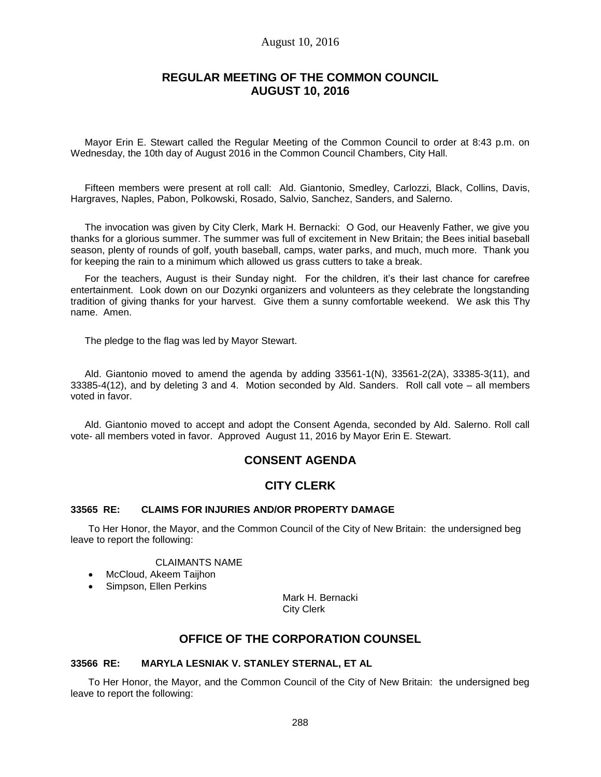# August 10, 2016

# **REGULAR MEETING OF THE COMMON COUNCIL AUGUST 10, 2016**

Mayor Erin E. Stewart called the Regular Meeting of the Common Council to order at 8:43 p.m. on Wednesday, the 10th day of August 2016 in the Common Council Chambers, City Hall.

Fifteen members were present at roll call: Ald. Giantonio, Smedley, Carlozzi, Black, Collins, Davis, Hargraves, Naples, Pabon, Polkowski, Rosado, Salvio, Sanchez, Sanders, and Salerno.

The invocation was given by City Clerk, Mark H. Bernacki: O God, our Heavenly Father, we give you thanks for a glorious summer. The summer was full of excitement in New Britain; the Bees initial baseball season, plenty of rounds of golf, youth baseball, camps, water parks, and much, much more. Thank you for keeping the rain to a minimum which allowed us grass cutters to take a break.

For the teachers, August is their Sunday night. For the children, it's their last chance for carefree entertainment. Look down on our Dozynki organizers and volunteers as they celebrate the longstanding tradition of giving thanks for your harvest. Give them a sunny comfortable weekend. We ask this Thy name. Amen.

The pledge to the flag was led by Mayor Stewart.

Ald. Giantonio moved to amend the agenda by adding  $33561-1(N)$ ,  $33561-2(2A)$ ,  $33385-3(11)$ , and 33385-4(12), and by deleting 3 and 4. Motion seconded by Ald. Sanders. Roll call vote – all members voted in favor.

Ald. Giantonio moved to accept and adopt the Consent Agenda, seconded by Ald. Salerno. Roll call vote- all members voted in favor. Approved August 11, 2016 by Mayor Erin E. Stewart.

# **CONSENT AGENDA**

# **CITY CLERK**

#### **33565 RE: CLAIMS FOR INJURIES AND/OR PROPERTY DAMAGE**

To Her Honor, the Mayor, and the Common Council of the City of New Britain: the undersigned beg leave to report the following:

#### CLAIMANTS NAME

- McCloud, Akeem Taijhon
- Simpson, Ellen Perkins

Mark H. Bernacki City Clerk

# **OFFICE OF THE CORPORATION COUNSEL**

#### **33566 RE: MARYLA LESNIAK V. STANLEY STERNAL, ET AL**

To Her Honor, the Mayor, and the Common Council of the City of New Britain: the undersigned beg leave to report the following: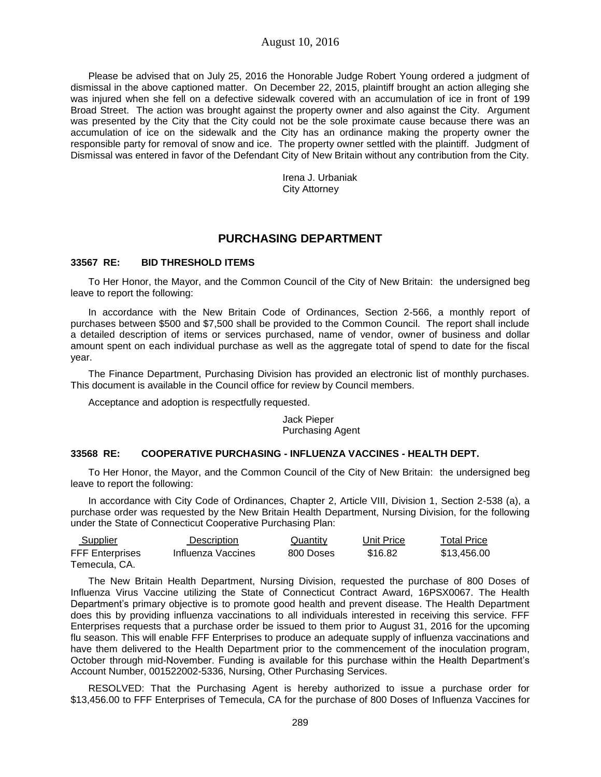Please be advised that on July 25, 2016 the Honorable Judge Robert Young ordered a judgment of dismissal in the above captioned matter. On December 22, 2015, plaintiff brought an action alleging she was injured when she fell on a defective sidewalk covered with an accumulation of ice in front of 199 Broad Street. The action was brought against the property owner and also against the City. Argument was presented by the City that the City could not be the sole proximate cause because there was an accumulation of ice on the sidewalk and the City has an ordinance making the property owner the responsible party for removal of snow and ice. The property owner settled with the plaintiff. Judgment of Dismissal was entered in favor of the Defendant City of New Britain without any contribution from the City.

> Irena J. Urbaniak City Attorney

# **PURCHASING DEPARTMENT**

### **33567 RE: BID THRESHOLD ITEMS**

To Her Honor, the Mayor, and the Common Council of the City of New Britain: the undersigned beg leave to report the following:

In accordance with the New Britain Code of Ordinances, Section 2-566, a monthly report of purchases between \$500 and \$7,500 shall be provided to the Common Council. The report shall include a detailed description of items or services purchased, name of vendor, owner of business and dollar amount spent on each individual purchase as well as the aggregate total of spend to date for the fiscal year.

The Finance Department, Purchasing Division has provided an electronic list of monthly purchases. This document is available in the Council office for review by Council members.

Acceptance and adoption is respectfully requested.

Jack Pieper Purchasing Agent

# **33568 RE: COOPERATIVE PURCHASING - INFLUENZA VACCINES - HEALTH DEPT.**

To Her Honor, the Mayor, and the Common Council of the City of New Britain: the undersigned beg leave to report the following:

In accordance with City Code of Ordinances, Chapter 2, Article VIII, Division 1, Section 2-538 (a), a purchase order was requested by the New Britain Health Department, Nursing Division, for the following under the State of Connecticut Cooperative Purchasing Plan:

| <b>Supplier</b>        | <b>Description</b> | <u>Quantity</u> | Unit Price | <b>Total Price</b> |
|------------------------|--------------------|-----------------|------------|--------------------|
| <b>FFF Enterprises</b> | Influenza Vaccines | 800 Doses       | \$16.82    | \$13.456.00        |
| Temecula. CA.          |                    |                 |            |                    |

The New Britain Health Department, Nursing Division, requested the purchase of 800 Doses of Influenza Virus Vaccine utilizing the State of Connecticut Contract Award, 16PSX0067. The Health Department's primary objective is to promote good health and prevent disease. The Health Department does this by providing influenza vaccinations to all individuals interested in receiving this service. FFF Enterprises requests that a purchase order be issued to them prior to August 31, 2016 for the upcoming flu season. This will enable FFF Enterprises to produce an adequate supply of influenza vaccinations and have them delivered to the Health Department prior to the commencement of the inoculation program, October through mid-November. Funding is available for this purchase within the Health Department's Account Number, 001522002-5336, Nursing, Other Purchasing Services.

RESOLVED: That the Purchasing Agent is hereby authorized to issue a purchase order for \$13,456.00 to FFF Enterprises of Temecula, CA for the purchase of 800 Doses of Influenza Vaccines for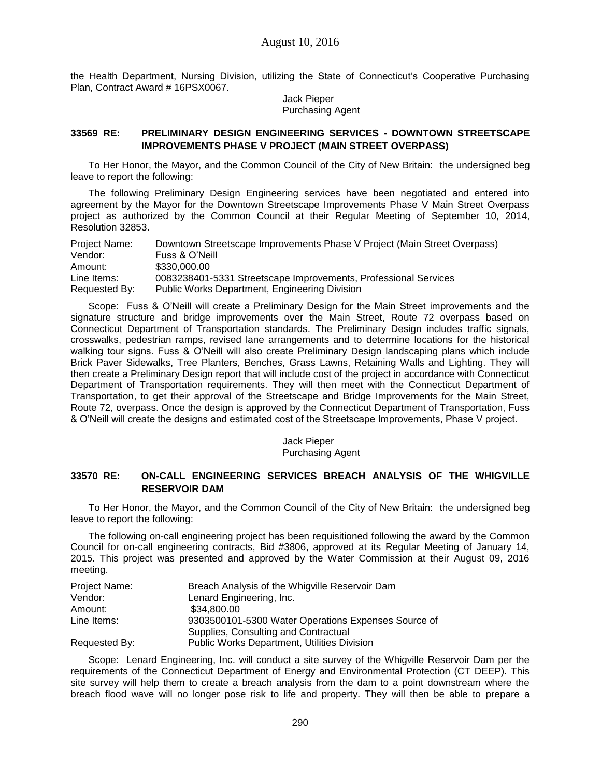the Health Department, Nursing Division, utilizing the State of Connecticut's Cooperative Purchasing Plan, Contract Award # 16PSX0067.

> Jack Pieper Purchasing Agent

# **33569 RE: PRELIMINARY DESIGN ENGINEERING SERVICES - DOWNTOWN STREETSCAPE IMPROVEMENTS PHASE V PROJECT (MAIN STREET OVERPASS)**

To Her Honor, the Mayor, and the Common Council of the City of New Britain: the undersigned beg leave to report the following:

The following Preliminary Design Engineering services have been negotiated and entered into agreement by the Mayor for the Downtown Streetscape Improvements Phase V Main Street Overpass project as authorized by the Common Council at their Regular Meeting of September 10, 2014, Resolution 32853.

| Project Name: | Downtown Streetscape Improvements Phase V Project (Main Street Overpass) |
|---------------|--------------------------------------------------------------------------|
| Vendor:       | Fuss & O'Neill                                                           |
| Amount:       | \$330,000.00                                                             |
| Line Items:   | 0083238401-5331 Streetscape Improvements, Professional Services          |
| Requested By: | Public Works Department, Engineering Division                            |

Scope: Fuss & O'Neill will create a Preliminary Design for the Main Street improvements and the signature structure and bridge improvements over the Main Street, Route 72 overpass based on Connecticut Department of Transportation standards. The Preliminary Design includes traffic signals, crosswalks, pedestrian ramps, revised lane arrangements and to determine locations for the historical walking tour signs. Fuss & O'Neill will also create Preliminary Design landscaping plans which include Brick Paver Sidewalks, Tree Planters, Benches, Grass Lawns, Retaining Walls and Lighting. They will then create a Preliminary Design report that will include cost of the project in accordance with Connecticut Department of Transportation requirements. They will then meet with the Connecticut Department of Transportation, to get their approval of the Streetscape and Bridge Improvements for the Main Street, Route 72, overpass. Once the design is approved by the Connecticut Department of Transportation, Fuss & O'Neill will create the designs and estimated cost of the Streetscape Improvements, Phase V project.

> Jack Pieper Purchasing Agent

# **33570 RE: ON-CALL ENGINEERING SERVICES BREACH ANALYSIS OF THE WHIGVILLE RESERVOIR DAM**

To Her Honor, the Mayor, and the Common Council of the City of New Britain: the undersigned beg leave to report the following:

The following on-call engineering project has been requisitioned following the award by the Common Council for on-call engineering contracts, Bid #3806, approved at its Regular Meeting of January 14, 2015. This project was presented and approved by the Water Commission at their August 09, 2016 meeting.

| Project Name: | Breach Analysis of the Whigville Reservoir Dam      |
|---------------|-----------------------------------------------------|
| Vendor:       | Lenard Engineering, Inc.                            |
| Amount:       | \$34,800,00                                         |
| Line Items:   | 9303500101-5300 Water Operations Expenses Source of |
|               | Supplies, Consulting and Contractual                |
| Requested By: | Public Works Department, Utilities Division         |

Scope: Lenard Engineering, Inc. will conduct a site survey of the Whigville Reservoir Dam per the requirements of the Connecticut Department of Energy and Environmental Protection (CT DEEP). This site survey will help them to create a breach analysis from the dam to a point downstream where the breach flood wave will no longer pose risk to life and property. They will then be able to prepare a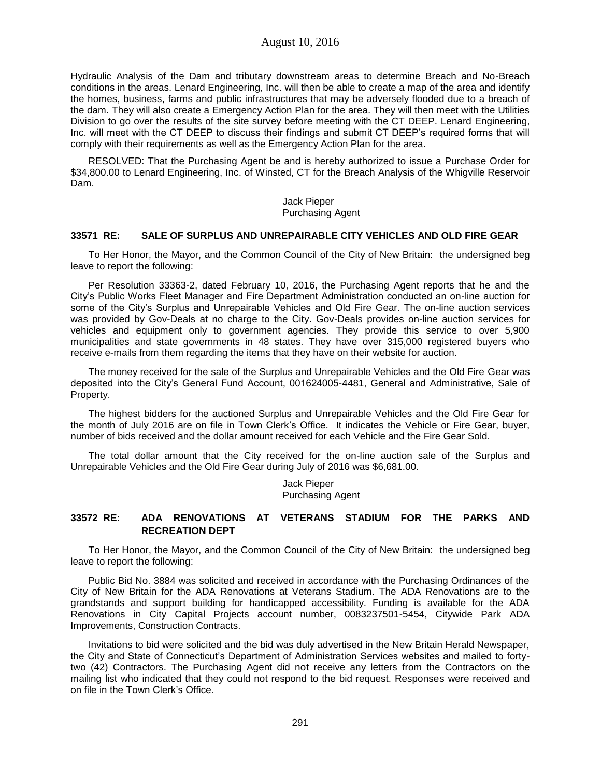Hydraulic Analysis of the Dam and tributary downstream areas to determine Breach and No-Breach conditions in the areas. Lenard Engineering, Inc. will then be able to create a map of the area and identify the homes, business, farms and public infrastructures that may be adversely flooded due to a breach of the dam. They will also create a Emergency Action Plan for the area. They will then meet with the Utilities Division to go over the results of the site survey before meeting with the CT DEEP. Lenard Engineering, Inc. will meet with the CT DEEP to discuss their findings and submit CT DEEP's required forms that will comply with their requirements as well as the Emergency Action Plan for the area.

RESOLVED: That the Purchasing Agent be and is hereby authorized to issue a Purchase Order for \$34,800.00 to Lenard Engineering, Inc. of Winsted, CT for the Breach Analysis of the Whigville Reservoir Dam.

> Jack Pieper Purchasing Agent

### **33571 RE: SALE OF SURPLUS AND UNREPAIRABLE CITY VEHICLES AND OLD FIRE GEAR**

To Her Honor, the Mayor, and the Common Council of the City of New Britain: the undersigned beg leave to report the following:

Per Resolution 33363-2, dated February 10, 2016, the Purchasing Agent reports that he and the City's Public Works Fleet Manager and Fire Department Administration conducted an on-line auction for some of the City's Surplus and Unrepairable Vehicles and Old Fire Gear. The on-line auction services was provided by Gov-Deals at no charge to the City. Gov-Deals provides on-line auction services for vehicles and equipment only to government agencies. They provide this service to over 5,900 municipalities and state governments in 48 states. They have over 315,000 registered buyers who receive e-mails from them regarding the items that they have on their website for auction.

The money received for the sale of the Surplus and Unrepairable Vehicles and the Old Fire Gear was deposited into the City's General Fund Account, 001624005-4481, General and Administrative, Sale of Property.

The highest bidders for the auctioned Surplus and Unrepairable Vehicles and the Old Fire Gear for the month of July 2016 are on file in Town Clerk's Office. It indicates the Vehicle or Fire Gear, buyer, number of bids received and the dollar amount received for each Vehicle and the Fire Gear Sold.

The total dollar amount that the City received for the on-line auction sale of the Surplus and Unrepairable Vehicles and the Old Fire Gear during July of 2016 was \$6,681.00.

> Jack Pieper Purchasing Agent

### **33572 RE: ADA RENOVATIONS AT VETERANS STADIUM FOR THE PARKS AND RECREATION DEPT**

To Her Honor, the Mayor, and the Common Council of the City of New Britain: the undersigned beg leave to report the following:

Public Bid No. 3884 was solicited and received in accordance with the Purchasing Ordinances of the City of New Britain for the ADA Renovations at Veterans Stadium. The ADA Renovations are to the grandstands and support building for handicapped accessibility. Funding is available for the ADA Renovations in City Capital Projects account number, 0083237501-5454, Citywide Park ADA Improvements, Construction Contracts.

Invitations to bid were solicited and the bid was duly advertised in the New Britain Herald Newspaper, the City and State of Connecticut's Department of Administration Services websites and mailed to fortytwo (42) Contractors. The Purchasing Agent did not receive any letters from the Contractors on the mailing list who indicated that they could not respond to the bid request. Responses were received and on file in the Town Clerk's Office.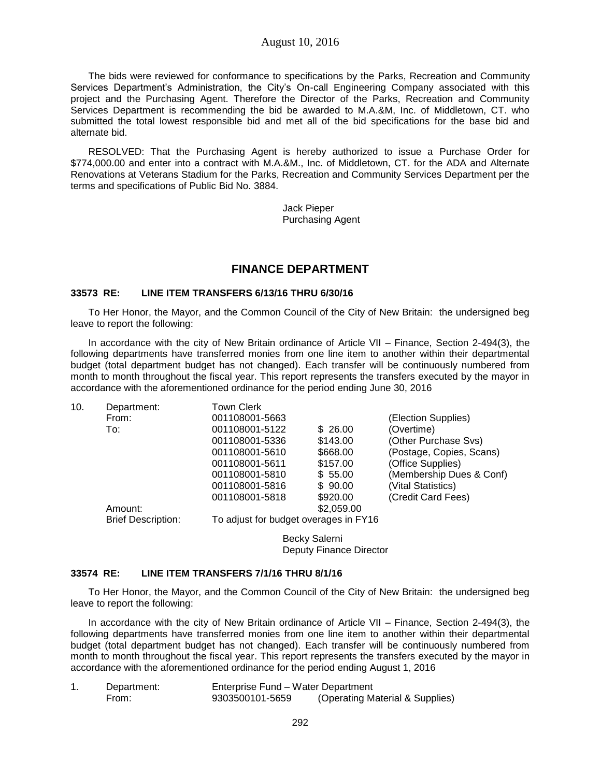The bids were reviewed for conformance to specifications by the Parks, Recreation and Community Services Department's Administration, the City's On-call Engineering Company associated with this project and the Purchasing Agent. Therefore the Director of the Parks, Recreation and Community Services Department is recommending the bid be awarded to M.A.&M, Inc. of Middletown, CT. who submitted the total lowest responsible bid and met all of the bid specifications for the base bid and alternate bid.

RESOLVED: That the Purchasing Agent is hereby authorized to issue a Purchase Order for \$774,000.00 and enter into a contract with M.A.&M., Inc. of Middletown, CT. for the ADA and Alternate Renovations at Veterans Stadium for the Parks, Recreation and Community Services Department per the terms and specifications of Public Bid No. 3884.

> Jack Pieper Purchasing Agent

# **FINANCE DEPARTMENT**

#### **33573 RE: LINE ITEM TRANSFERS 6/13/16 THRU 6/30/16**

To Her Honor, the Mayor, and the Common Council of the City of New Britain: the undersigned beg leave to report the following:

In accordance with the city of New Britain ordinance of Article VII – Finance, Section 2-494(3), the following departments have transferred monies from one line item to another within their departmental budget (total department budget has not changed). Each transfer will be continuously numbered from month to month throughout the fiscal year. This report represents the transfers executed by the mayor in accordance with the aforementioned ordinance for the period ending June 30, 2016

| 10. | Department:               | <b>Town Clerk</b>                     |            |                          |  |  |
|-----|---------------------------|---------------------------------------|------------|--------------------------|--|--|
|     | From:                     | 001108001-5663                        |            | (Election Supplies)      |  |  |
|     | To:                       | 001108001-5122                        | \$26.00    | (Overtime)               |  |  |
|     |                           | 001108001-5336                        | \$143.00   | (Other Purchase Svs)     |  |  |
|     |                           | 001108001-5610                        | \$668.00   | (Postage, Copies, Scans) |  |  |
|     |                           | 001108001-5611                        | \$157.00   | (Office Supplies)        |  |  |
|     |                           | 001108001-5810                        | \$55.00    | (Membership Dues & Conf) |  |  |
|     |                           | 001108001-5816                        | \$90.00    | (Vital Statistics)       |  |  |
|     |                           | 001108001-5818                        | \$920.00   | (Credit Card Fees)       |  |  |
|     | Amount:                   |                                       | \$2,059.00 |                          |  |  |
|     | <b>Brief Description:</b> | To adjust for budget overages in FY16 |            |                          |  |  |
|     |                           | Becky Salerni                         |            |                          |  |  |
|     |                           | Deputy Finance Director               |            |                          |  |  |

#### **33574 RE: LINE ITEM TRANSFERS 7/1/16 THRU 8/1/16**

To Her Honor, the Mayor, and the Common Council of the City of New Britain: the undersigned beg leave to report the following:

In accordance with the city of New Britain ordinance of Article VII – Finance, Section 2-494(3), the following departments have transferred monies from one line item to another within their departmental budget (total department budget has not changed). Each transfer will be continuously numbered from month to month throughout the fiscal year. This report represents the transfers executed by the mayor in accordance with the aforementioned ordinance for the period ending August 1, 2016

| Department: | Enterprise Fund – Water Department |                                 |
|-------------|------------------------------------|---------------------------------|
| From:       | 9303500101-5659                    | (Operating Material & Supplies) |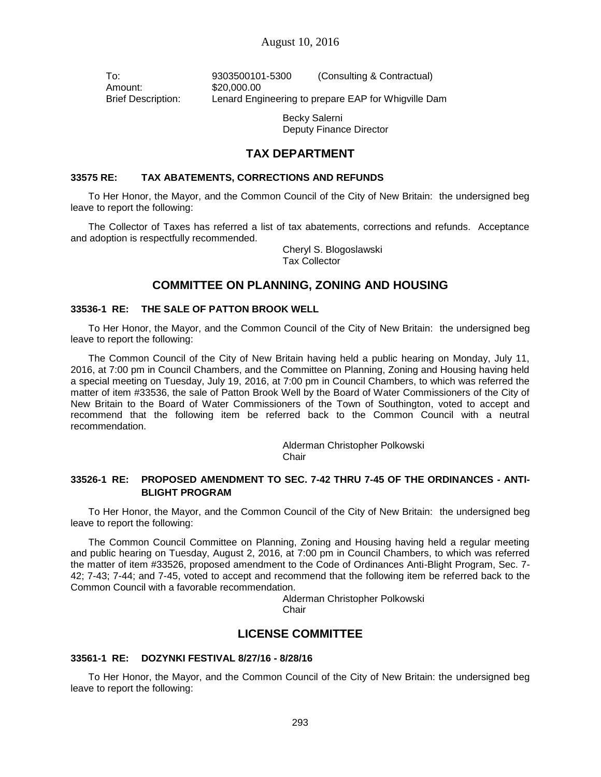Amount: \$20,000.00

To: 9303500101-5300 (Consulting & Contractual) Brief Description: Lenard Engineering to prepare EAP for Whigville Dam

> Becky Salerni Deputy Finance Director

# **TAX DEPARTMENT**

### **33575 RE: TAX ABATEMENTS, CORRECTIONS AND REFUNDS**

To Her Honor, the Mayor, and the Common Council of the City of New Britain: the undersigned beg leave to report the following:

The Collector of Taxes has referred a list of tax abatements, corrections and refunds. Acceptance and adoption is respectfully recommended.

> Cheryl S. Blogoslawski Tax Collector

# **COMMITTEE ON PLANNING, ZONING AND HOUSING**

### **33536-1 RE: THE SALE OF PATTON BROOK WELL**

To Her Honor, the Mayor, and the Common Council of the City of New Britain: the undersigned beg leave to report the following:

The Common Council of the City of New Britain having held a public hearing on Monday, July 11, 2016, at 7:00 pm in Council Chambers, and the Committee on Planning, Zoning and Housing having held a special meeting on Tuesday, July 19, 2016, at 7:00 pm in Council Chambers, to which was referred the matter of item #33536, the sale of Patton Brook Well by the Board of Water Commissioners of the City of New Britain to the Board of Water Commissioners of the Town of Southington, voted to accept and recommend that the following item be referred back to the Common Council with a neutral recommendation.

> Alderman Christopher Polkowski Chair

# **33526-1 RE: PROPOSED AMENDMENT TO SEC. 7-42 THRU 7-45 OF THE ORDINANCES - ANTI-BLIGHT PROGRAM**

To Her Honor, the Mayor, and the Common Council of the City of New Britain: the undersigned beg leave to report the following:

The Common Council Committee on Planning, Zoning and Housing having held a regular meeting and public hearing on Tuesday, August 2, 2016, at 7:00 pm in Council Chambers, to which was referred the matter of item #33526, proposed amendment to the Code of Ordinances Anti-Blight Program, Sec. 7- 42; 7-43; 7-44; and 7-45, voted to accept and recommend that the following item be referred back to the Common Council with a favorable recommendation.

> Alderman Christopher Polkowski Chair

# **LICENSE COMMITTEE**

### **33561-1 RE: DOZYNKI FESTIVAL 8/27/16 - 8/28/16**

To Her Honor, the Mayor, and the Common Council of the City of New Britain: the undersigned beg leave to report the following: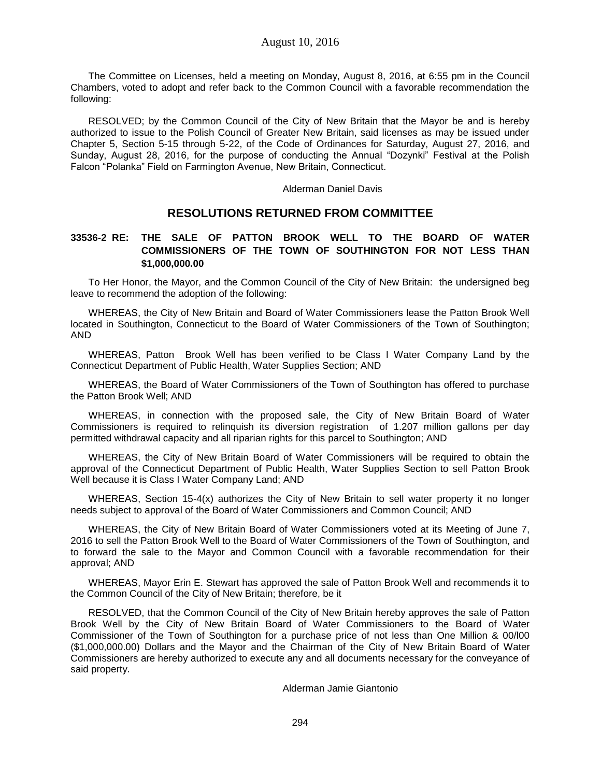The Committee on Licenses, held a meeting on Monday, August 8, 2016, at 6:55 pm in the Council Chambers, voted to adopt and refer back to the Common Council with a favorable recommendation the following:

RESOLVED; by the Common Council of the City of New Britain that the Mayor be and is hereby authorized to issue to the Polish Council of Greater New Britain, said licenses as may be issued under Chapter 5, Section 5-15 through 5-22, of the Code of Ordinances for Saturday, August 27, 2016, and Sunday, August 28, 2016, for the purpose of conducting the Annual "Dozynki" Festival at the Polish Falcon "Polanka" Field on Farmington Avenue, New Britain, Connecticut.

Alderman Daniel Davis

# **RESOLUTIONS RETURNED FROM COMMITTEE**

# **33536-2 RE: THE SALE OF PATTON BROOK WELL TO THE BOARD OF WATER COMMISSIONERS OF THE TOWN OF SOUTHINGTON FOR NOT LESS THAN \$1,000,000.00**

To Her Honor, the Mayor, and the Common Council of the City of New Britain: the undersigned beg leave to recommend the adoption of the following:

WHEREAS, the City of New Britain and Board of Water Commissioners lease the Patton Brook Well located in Southington, Connecticut to the Board of Water Commissioners of the Town of Southington; AND

WHEREAS, Patton Brook Well has been verified to be Class I Water Company Land by the Connecticut Department of Public Health, Water Supplies Section; AND

WHEREAS, the Board of Water Commissioners of the Town of Southington has offered to purchase the Patton Brook Well; AND

WHEREAS, in connection with the proposed sale, the City of New Britain Board of Water Commissioners is required to relinquish its diversion registration of 1.207 million gallons per day permitted withdrawal capacity and all riparian rights for this parcel to Southington; AND

WHEREAS, the City of New Britain Board of Water Commissioners will be required to obtain the approval of the Connecticut Department of Public Health, Water Supplies Section to sell Patton Brook Well because it is Class I Water Company Land; AND

WHEREAS, Section 15-4(x) authorizes the City of New Britain to sell water property it no longer needs subject to approval of the Board of Water Commissioners and Common Council; AND

WHEREAS, the City of New Britain Board of Water Commissioners voted at its Meeting of June 7, 2016 to sell the Patton Brook Well to the Board of Water Commissioners of the Town of Southington, and to forward the sale to the Mayor and Common Council with a favorable recommendation for their approval; AND

WHEREAS, Mayor Erin E. Stewart has approved the sale of Patton Brook Well and recommends it to the Common Council of the City of New Britain; therefore, be it

RESOLVED, that the Common Council of the City of New Britain hereby approves the sale of Patton Brook Well by the City of New Britain Board of Water Commissioners to the Board of Water Commissioner of the Town of Southington for a purchase price of not less than One Million & 00/l00 (\$1,000,000.00) Dollars and the Mayor and the Chairman of the City of New Britain Board of Water Commissioners are hereby authorized to execute any and all documents necessary for the conveyance of said property.

Alderman Jamie Giantonio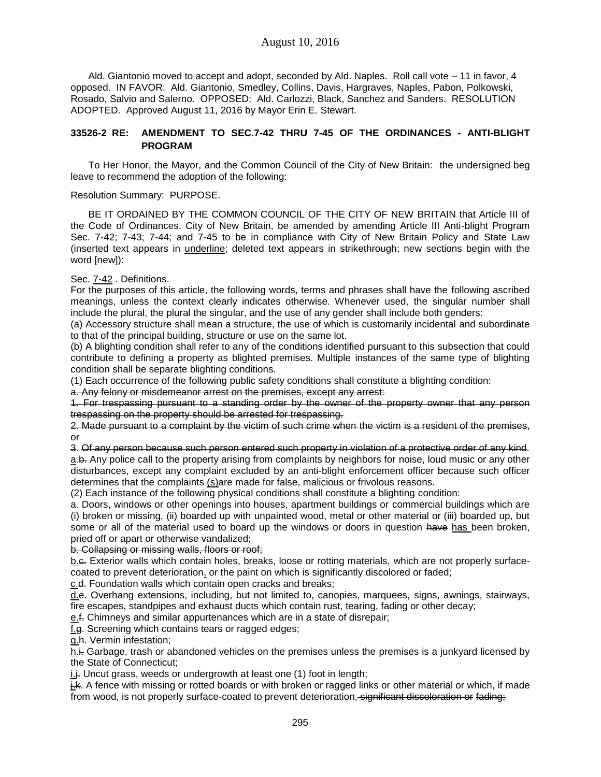Ald. Giantonio moved to accept and adopt, seconded by Ald. Naples. Roll call vote – 11 in favor, 4 opposed. IN FAVOR: Ald. Giantonio, Smedley, Collins, Davis, Hargraves, Naples, Pabon, Polkowski, Rosado, Salvio and Salerno. OPPOSED: Ald. Carlozzi, Black, Sanchez and Sanders. RESOLUTION ADOPTED. Approved August 11, 2016 by Mayor Erin E. Stewart.

# **33526-2 RE: AMENDMENT TO SEC.7-42 THRU 7-45 OF THE ORDINANCES - ANTI-BLIGHT PROGRAM**

To Her Honor, the Mayor, and the Common Council of the City of New Britain: the undersigned beg leave to recommend the adoption of the following:

Resolution Summary: PURPOSE.

BE IT ORDAINED BY THE COMMON COUNCIL OF THE CITY OF NEW BRITAIN that Article III of the Code of Ordinances, City of New Britain, be amended by amending Article III Anti-blight Program Sec. 7-42; 7-43; 7-44; and 7-45 to be in compliance with City of New Britain Policy and State Law (inserted text appears in underline; deleted text appears in strikethrough; new sections begin with the word [new]):

Sec. 7-42 . Definitions.

For the purposes of this article, the following words, terms and phrases shall have the following ascribed meanings, unless the context clearly indicates otherwise. Whenever used, the singular number shall include the plural, the plural the singular, and the use of any gender shall include both genders:

(a) Accessory structure shall mean a structure, the use of which is customarily incidental and subordinate to that of the principal building, structure or use on the same lot.

(b) A blighting condition shall refer to any of the conditions identified pursuant to this subsection that could contribute to defining a property as blighted premises. Multiple instances of the same type of blighting condition shall be separate blighting conditions.

(1) Each occurrence of the following public safety conditions shall constitute a blighting condition:

a. Any felony or misdemeanor arrest on the premises, except any arrest:

1. For trespassing pursuant to a standing order by the owner of the property owner that any person trespassing on the property should be arrested for trespassing.

2. Made pursuant to a complaint by the victim of such crime when the victim is a resident of the premises, or

3. Of any person because such person entered such property in violation of a protective order of any kind. a.b. Any police call to the property arising from complaints by neighbors for noise, loud music or any other disturbances, except any complaint excluded by an anti-blight enforcement officer because such officer determines that the complaints (s) are made for false, malicious or frivolous reasons.

(2) Each instance of the following physical conditions shall constitute a blighting condition:

a. Doors, windows or other openings into houses, apartment buildings or commercial buildings which are (i) broken or missing, (ii) boarded up with unpainted wood, metal or other material or (iii) boarded up, but some or all of the material used to board up the windows or doors in question have has been broken, pried off or apart or otherwise vandalized;

b. Collapsing or missing walls, floors or roof;

b.e. Exterior walls which contain holes, breaks, loose or rotting materials, which are not properly surfacecoated to prevent deterioration, or the paint on which is significantly discolored or faded;

c.d. Foundation walls which contain open cracks and breaks;

d.e. Overhang extensions, including, but not limited to, canopies, marquees, signs, awnings, stairways, fire escapes, standpipes and exhaust ducts which contain rust, tearing, fading or other decay;

e.f. Chimneys and similar appurtenances which are in a state of disrepair;

f.g. Screening which contains tears or ragged edges;

g.h. Vermin infestation;

h.i. Garbage, trash or abandoned vehicles on the premises unless the premises is a junkyard licensed by the State of Connecticut;

 $i.f.$  Uncut grass, weeds or undergrowth at least one  $(1)$  foot in length;

j.k. A fence with missing or rotted boards or with broken or ragged links or other material or which, if made from wood, is not properly surface-coated to prevent deterioration, significant discoloration or fading;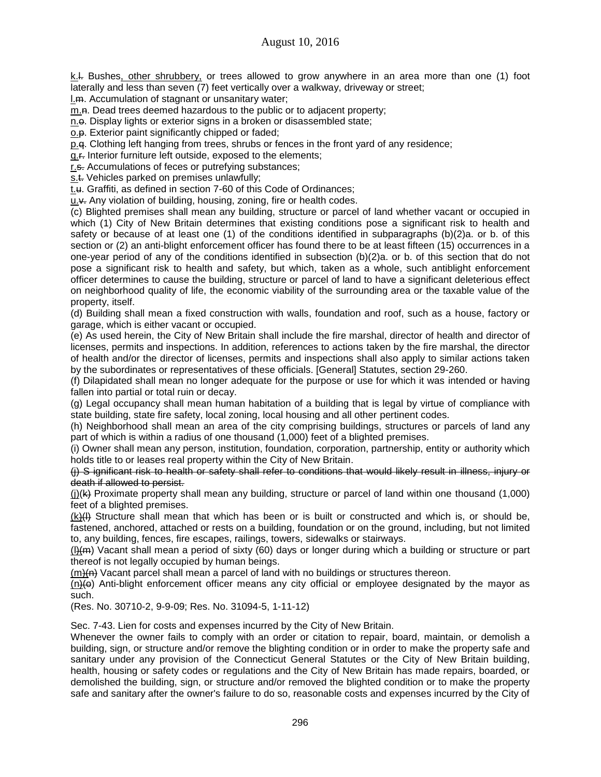k.l. Bushes, other shrubbery, or trees allowed to grow anywhere in an area more than one (1) foot laterally and less than seven (7) feet vertically over a walkway, driveway or street;

l.m. Accumulation of stagnant or unsanitary water;

m.n. Dead trees deemed hazardous to the public or to adjacent property;

n.e. Display lights or exterior signs in a broken or disassembled state;

o.p. Exterior paint significantly chipped or faded;

p.q. Clothing left hanging from trees, shrubs or fences in the front yard of any residence;

q.r. Interior furniture left outside, exposed to the elements;

r.s. Accumulations of feces or putrefying substances:

s.t. Vehicles parked on premises unlawfully;

t.u. Graffiti, as defined in section 7-60 of this Code of Ordinances;

u.v. Any violation of building, housing, zoning, fire or health codes.

(c) Blighted premises shall mean any building, structure or parcel of land whether vacant or occupied in which (1) City of New Britain determines that existing conditions pose a significant risk to health and safety or because of at least one (1) of the conditions identified in subparagraphs (b)(2)a. or b. of this section or (2) an anti-blight enforcement officer has found there to be at least fifteen (15) occurrences in a one-year period of any of the conditions identified in subsection (b)(2)a. or b. of this section that do not pose a significant risk to health and safety, but which, taken as a whole, such antiblight enforcement officer determines to cause the building, structure or parcel of land to have a significant deleterious effect on neighborhood quality of life, the economic viability of the surrounding area or the taxable value of the property, itself.

(d) Building shall mean a fixed construction with walls, foundation and roof, such as a house, factory or garage, which is either vacant or occupied.

(e) As used herein, the City of New Britain shall include the fire marshal, director of health and director of licenses, permits and inspections. In addition, references to actions taken by the fire marshal, the director of health and/or the director of licenses, permits and inspections shall also apply to similar actions taken by the subordinates or representatives of these officials. [General] Statutes, section 29-260.

(f) Dilapidated shall mean no longer adequate for the purpose or use for which it was intended or having fallen into partial or total ruin or decay.

(g) Legal occupancy shall mean human habitation of a building that is legal by virtue of compliance with state building, state fire safety, local zoning, local housing and all other pertinent codes.

(h) Neighborhood shall mean an area of the city comprising buildings, structures or parcels of land any part of which is within a radius of one thousand (1,000) feet of a blighted premises.

(i) Owner shall mean any person, institution, foundation, corporation, partnership, entity or authority which holds title to or leases real property within the City of New Britain.

(j) S ignificant risk to health or safety shall refer to conditions that would likely result in illness, injury or death if allowed to persist.

(i)( $\leftrightarrow$  Proximate property shall mean any building, structure or parcel of land within one thousand (1,000) feet of a blighted premises.

(k)(I) Structure shall mean that which has been or is built or constructed and which is, or should be, fastened, anchored, attached or rests on a building, foundation or on the ground, including, but not limited to, any building, fences, fire escapes, railings, towers, sidewalks or stairways.

 $(l)$ ( $m$ ) Vacant shall mean a period of sixty (60) days or longer during which a building or structure or part thereof is not legally occupied by human beings.

(m)(n) Vacant parcel shall mean a parcel of land with no buildings or structures thereon.

 $(n)$  Anti-blight enforcement officer means any city official or employee designated by the mayor as such.

(Res. No. 30710-2, 9-9-09; Res. No. 31094-5, 1-11-12)

Sec. 7-43. Lien for costs and expenses incurred by the City of New Britain.

Whenever the owner fails to comply with an order or citation to repair, board, maintain, or demolish a building, sign, or structure and/or remove the blighting condition or in order to make the property safe and sanitary under any provision of the Connecticut General Statutes or the City of New Britain building, health, housing or safety codes or regulations and the City of New Britain has made repairs, boarded, or demolished the building, sign, or structure and/or removed the blighted condition or to make the property safe and sanitary after the owner's failure to do so, reasonable costs and expenses incurred by the City of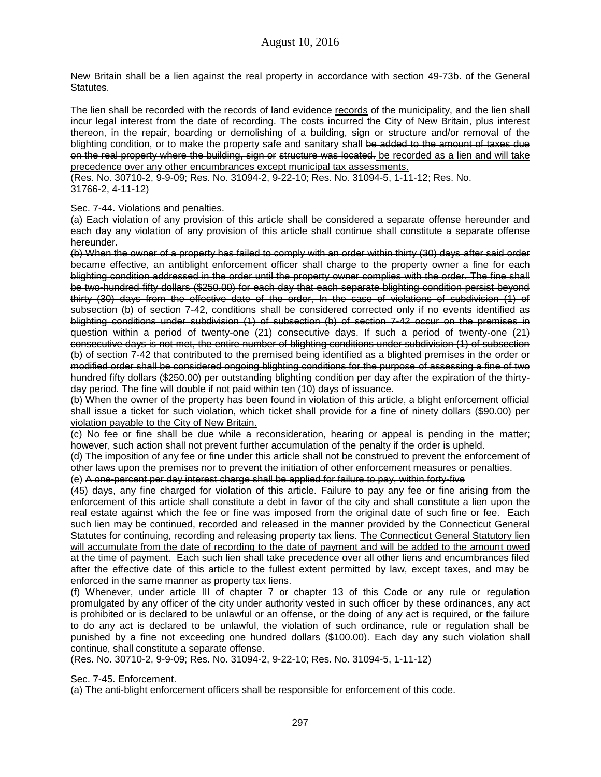New Britain shall be a lien against the real property in accordance with section 49-73b. of the General Statutes.

The lien shall be recorded with the records of land evidence records of the municipality, and the lien shall incur legal interest from the date of recording. The costs incurred the City of New Britain, plus interest thereon, in the repair, boarding or demolishing of a building, sign or structure and/or removal of the blighting condition, or to make the property safe and sanitary shall be added to the amount of taxes due on the real property where the building, sign or structure was located. be recorded as a lien and will take precedence over any other encumbrances except municipal tax assessments.

(Res. No. 30710-2, 9-9-09; Res. No. 31094-2, 9-22-10; Res. No. 31094-5, 1-11-12; Res. No. 31766-2, 4-11-12)

#### Sec. 7-44. Violations and penalties.

(a) Each violation of any provision of this article shall be considered a separate offense hereunder and each day any violation of any provision of this article shall continue shall constitute a separate offense hereunder.

(b) When the owner of a property has failed to comply with an order within thirty (30) days after said order became effective, an antiblight enforcement officer shall charge to the property owner a fine for each blighting condition addressed in the order until the property owner complies with the order. The fine shall be two-hundred fifty dollars (\$250.00) for each day that each separate blighting condition persist beyond thirty (30) days from the effective date of the order, In the case of violations of subdivision (1) of subsection (b) of section 7-42, conditions shall be considered corrected only if no events identified as blighting conditions under subdivision (1) of subsection (b) of section 7-42 occur on the premises in question within a period of twenty-one (21) consecutive days. If such a period of twenty-one (21) consecutive days is not met, the entire number of blighting conditions under subdivision (1) of subsection (b) of section 7-42 that contributed to the premised being identified as a blighted premises in the order or modified order shall be considered ongoing blighting conditions for the purpose of assessing a fine of two hundred fifty dollars (\$250.00) per outstanding blighting condition per day after the expiration of the thirtyday period. The fine will double if not paid within ten (10) days of issuance.

(b) When the owner of the property has been found in violation of this article, a blight enforcement official shall issue a ticket for such violation, which ticket shall provide for a fine of ninety dollars (\$90.00) per violation payable to the City of New Britain.

(c) No fee or fine shall be due while a reconsideration, hearing or appeal is pending in the matter; however, such action shall not prevent further accumulation of the penalty if the order is upheld.

(d) The imposition of any fee or fine under this article shall not be construed to prevent the enforcement of other laws upon the premises nor to prevent the initiation of other enforcement measures or penalties.

(e) A one-percent per day interest charge shall be applied for failure to pay, within forty-five

(45) days, any fine charged for violation of this article. Failure to pay any fee or fine arising from the enforcement of this article shall constitute a debt in favor of the city and shall constitute a lien upon the real estate against which the fee or fine was imposed from the original date of such fine or fee. Each such lien may be continued, recorded and released in the manner provided by the Connecticut General Statutes for continuing, recording and releasing property tax liens. The Connecticut General Statutory lien will accumulate from the date of recording to the date of payment and will be added to the amount owed at the time of payment. Each such lien shall take precedence over all other liens and encumbrances filed after the effective date of this article to the fullest extent permitted by law, except taxes, and may be enforced in the same manner as property tax liens.

(f) Whenever, under article III of chapter 7 or chapter 13 of this Code or any rule or regulation promulgated by any officer of the city under authority vested in such officer by these ordinances, any act is prohibited or is declared to be unlawful or an offense, or the doing of any act is required, or the failure to do any act is declared to be unlawful, the violation of such ordinance, rule or regulation shall be punished by a fine not exceeding one hundred dollars (\$100.00). Each day any such violation shall continue, shall constitute a separate offense.

(Res. No. 30710-2, 9-9-09; Res. No. 31094-2, 9-22-10; Res. No. 31094-5, 1-11-12)

Sec. 7-45. Enforcement.

(a) The anti-blight enforcement officers shall be responsible for enforcement of this code.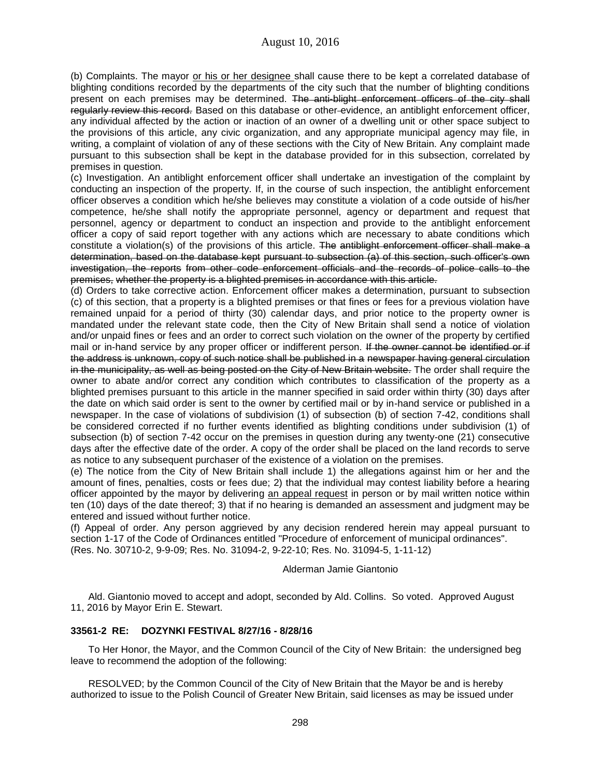(b) Complaints. The mayor or his or her designee shall cause there to be kept a correlated database of blighting conditions recorded by the departments of the city such that the number of blighting conditions present on each premises may be determined. The anti-blight enforcement officers of the city shall regularly review this record. Based on this database or other-evidence, an antiblight enforcement officer, any individual affected by the action or inaction of an owner of a dwelling unit or other space subject to the provisions of this article, any civic organization, and any appropriate municipal agency may file, in writing, a complaint of violation of any of these sections with the City of New Britain. Any complaint made pursuant to this subsection shall be kept in the database provided for in this subsection, correlated by premises in question.

(c) Investigation. An antiblight enforcement officer shall undertake an investigation of the complaint by conducting an inspection of the property. If, in the course of such inspection, the antiblight enforcement officer observes a condition which he/she believes may constitute a violation of a code outside of his/her competence, he/she shall notify the appropriate personnel, agency or department and request that personnel, agency or department to conduct an inspection and provide to the antiblight enforcement officer a copy of said report together with any actions which are necessary to abate conditions which constitute a violation(s) of the provisions of this article. The antiblight enforcement officer shall make a determination, based on the database kept pursuant to subsection (a) of this section, such officer's own investigation, the reports from other code enforcement officials and the records of police calls to the premises, whether the property is a blighted premises in accordance with this article.

(d) Orders to take corrective action. Enforcement officer makes a determination, pursuant to subsection (c) of this section, that a property is a blighted premises or that fines or fees for a previous violation have remained unpaid for a period of thirty (30) calendar days, and prior notice to the property owner is mandated under the relevant state code, then the City of New Britain shall send a notice of violation and/or unpaid fines or fees and an order to correct such violation on the owner of the property by certified mail or in-hand service by any proper officer or indifferent person. If the owner cannot be identified or if the address is unknown, copy of such notice shall be published in a newspaper having general circulation in the municipality, as well as being posted on the City of New Britain website. The order shall require the owner to abate and/or correct any condition which contributes to classification of the property as a blighted premises pursuant to this article in the manner specified in said order within thirty (30) days after the date on which said order is sent to the owner by certified mail or by in-hand service or published in a newspaper. In the case of violations of subdivision (1) of subsection (b) of section 7-42, conditions shall be considered corrected if no further events identified as blighting conditions under subdivision (1) of subsection (b) of section 7-42 occur on the premises in question during any twenty-one (21) consecutive days after the effective date of the order. A copy of the order shall be placed on the land records to serve as notice to any subsequent purchaser of the existence of a violation on the premises.

(e) The notice from the City of New Britain shall include 1) the allegations against him or her and the amount of fines, penalties, costs or fees due; 2) that the individual may contest liability before a hearing officer appointed by the mayor by delivering an appeal request in person or by mail written notice within ten (10) days of the date thereof; 3) that if no hearing is demanded an assessment and judgment may be entered and issued without further notice.

(f) Appeal of order. Any person aggrieved by any decision rendered herein may appeal pursuant to section 1-17 of the Code of Ordinances entitled "Procedure of enforcement of municipal ordinances". (Res. No. 30710-2, 9-9-09; Res. No. 31094-2, 9-22-10; Res. No. 31094-5, 1-11-12)

Alderman Jamie Giantonio

Ald. Giantonio moved to accept and adopt, seconded by Ald. Collins. So voted. Approved August 11, 2016 by Mayor Erin E. Stewart.

# **33561-2 RE: DOZYNKI FESTIVAL 8/27/16 - 8/28/16**

To Her Honor, the Mayor, and the Common Council of the City of New Britain: the undersigned beg leave to recommend the adoption of the following:

RESOLVED; by the Common Council of the City of New Britain that the Mayor be and is hereby authorized to issue to the Polish Council of Greater New Britain, said licenses as may be issued under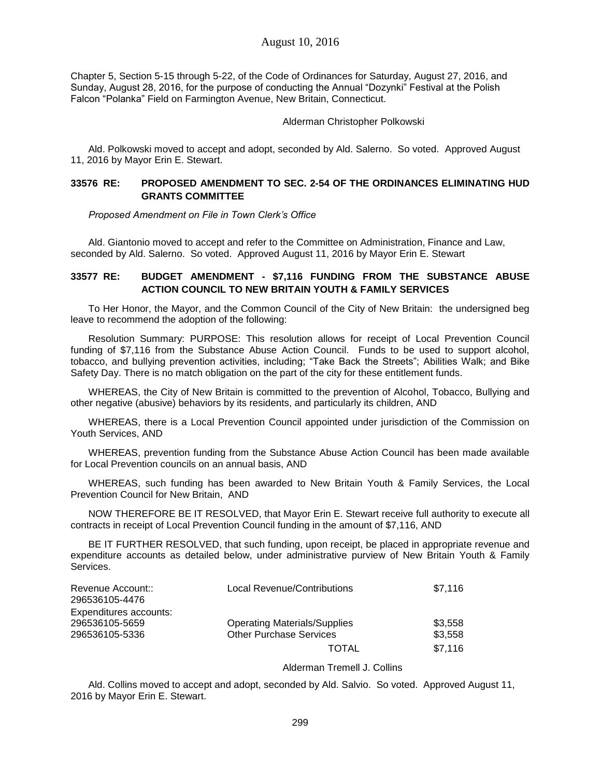Chapter 5, Section 5-15 through 5-22, of the Code of Ordinances for Saturday, August 27, 2016, and Sunday, August 28, 2016, for the purpose of conducting the Annual "Dozynki" Festival at the Polish Falcon "Polanka" Field on Farmington Avenue, New Britain, Connecticut.

### Alderman Christopher Polkowski

Ald. Polkowski moved to accept and adopt, seconded by Ald. Salerno. So voted. Approved August 11, 2016 by Mayor Erin E. Stewart.

# **33576 RE: PROPOSED AMENDMENT TO SEC. 2-54 OF THE ORDINANCES ELIMINATING HUD GRANTS COMMITTEE**

*Proposed Amendment on File in Town Clerk's Office*

Ald. Giantonio moved to accept and refer to the Committee on Administration, Finance and Law, seconded by Ald. Salerno. So voted. Approved August 11, 2016 by Mayor Erin E. Stewart

### **33577 RE: BUDGET AMENDMENT - \$7,116 FUNDING FROM THE SUBSTANCE ABUSE ACTION COUNCIL TO NEW BRITAIN YOUTH & FAMILY SERVICES**

To Her Honor, the Mayor, and the Common Council of the City of New Britain: the undersigned beg leave to recommend the adoption of the following:

Resolution Summary: PURPOSE: This resolution allows for receipt of Local Prevention Council funding of \$7,116 from the Substance Abuse Action Council. Funds to be used to support alcohol, tobacco, and bullying prevention activities, including; "Take Back the Streets"; Abilities Walk; and Bike Safety Day. There is no match obligation on the part of the city for these entitlement funds.

WHEREAS, the City of New Britain is committed to the prevention of Alcohol, Tobacco, Bullying and other negative (abusive) behaviors by its residents, and particularly its children, AND

WHEREAS, there is a Local Prevention Council appointed under jurisdiction of the Commission on Youth Services, AND

WHEREAS, prevention funding from the Substance Abuse Action Council has been made available for Local Prevention councils on an annual basis, AND

WHEREAS, such funding has been awarded to New Britain Youth & Family Services, the Local Prevention Council for New Britain, AND

NOW THEREFORE BE IT RESOLVED, that Mayor Erin E. Stewart receive full authority to execute all contracts in receipt of Local Prevention Council funding in the amount of \$7,116, AND

BE IT FURTHER RESOLVED, that such funding, upon receipt, be placed in appropriate revenue and expenditure accounts as detailed below, under administrative purview of New Britain Youth & Family Services.

| Revenue Account::<br>296536105-4476 | Local Revenue/Contributions         | \$7.116 |
|-------------------------------------|-------------------------------------|---------|
| Expenditures accounts:              |                                     |         |
| 296536105-5659                      | <b>Operating Materials/Supplies</b> | \$3.558 |
| 296536105-5336                      | <b>Other Purchase Services</b>      | \$3,558 |
|                                     | TOTAL                               | \$7.116 |

#### Alderman Tremell J. Collins

Ald. Collins moved to accept and adopt, seconded by Ald. Salvio. So voted. Approved August 11, 2016 by Mayor Erin E. Stewart.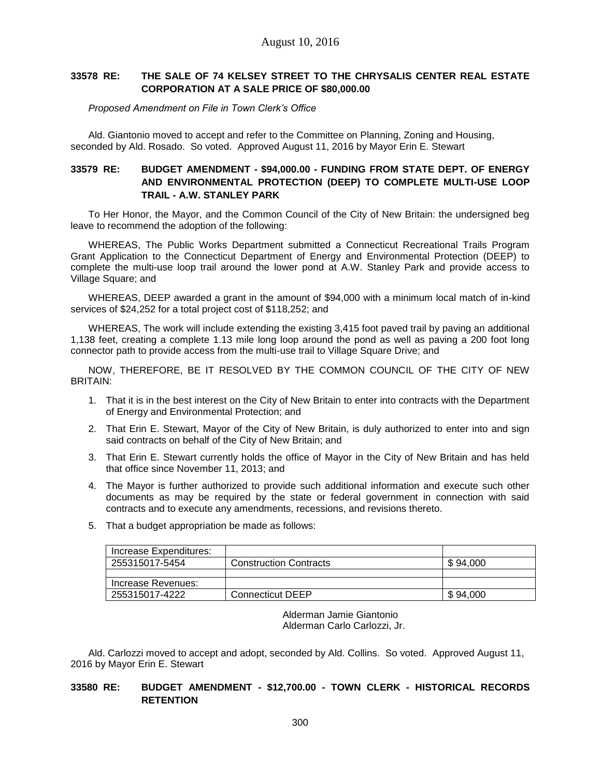# **33578 RE: THE SALE OF 74 KELSEY STREET TO THE CHRYSALIS CENTER REAL ESTATE CORPORATION AT A SALE PRICE OF \$80,000.00**

*Proposed Amendment on File in Town Clerk's Office*

Ald. Giantonio moved to accept and refer to the Committee on Planning, Zoning and Housing, seconded by Ald. Rosado. So voted. Approved August 11, 2016 by Mayor Erin E. Stewart

# **33579 RE: BUDGET AMENDMENT - \$94,000.00 - FUNDING FROM STATE DEPT. OF ENERGY AND ENVIRONMENTAL PROTECTION (DEEP) TO COMPLETE MULTI-USE LOOP TRAIL - A.W. STANLEY PARK**

To Her Honor, the Mayor, and the Common Council of the City of New Britain: the undersigned beg leave to recommend the adoption of the following:

WHEREAS, The Public Works Department submitted a Connecticut Recreational Trails Program Grant Application to the Connecticut Department of Energy and Environmental Protection (DEEP) to complete the multi-use loop trail around the lower pond at A.W. Stanley Park and provide access to Village Square; and

WHEREAS, DEEP awarded a grant in the amount of \$94,000 with a minimum local match of in-kind services of \$24,252 for a total project cost of \$118,252; and

WHEREAS, The work will include extending the existing 3,415 foot paved trail by paving an additional 1,138 feet, creating a complete 1.13 mile long loop around the pond as well as paving a 200 foot long connector path to provide access from the multi-use trail to Village Square Drive; and

NOW, THEREFORE, BE IT RESOLVED BY THE COMMON COUNCIL OF THE CITY OF NEW BRITAIN:

- 1. That it is in the best interest on the City of New Britain to enter into contracts with the Department of Energy and Environmental Protection; and
- 2. That Erin E. Stewart, Mayor of the City of New Britain, is duly authorized to enter into and sign said contracts on behalf of the City of New Britain; and
- 3. That Erin E. Stewart currently holds the office of Mayor in the City of New Britain and has held that office since November 11, 2013; and
- 4. The Mayor is further authorized to provide such additional information and execute such other documents as may be required by the state or federal government in connection with said contracts and to execute any amendments, recessions, and revisions thereto.
- 5. That a budget appropriation be made as follows:

| Increase Expenditures: |                               |          |
|------------------------|-------------------------------|----------|
| 255315017-5454         | <b>Construction Contracts</b> | \$94.000 |
|                        |                               |          |
| Increase Revenues:     |                               |          |
| 255315017-4222         | Connecticut DEEP              | \$94,000 |

Alderman Jamie Giantonio Alderman Carlo Carlozzi, Jr.

Ald. Carlozzi moved to accept and adopt, seconded by Ald. Collins. So voted. Approved August 11, 2016 by Mayor Erin E. Stewart

# **33580 RE: BUDGET AMENDMENT - \$12,700.00 - TOWN CLERK - HISTORICAL RECORDS RETENTION**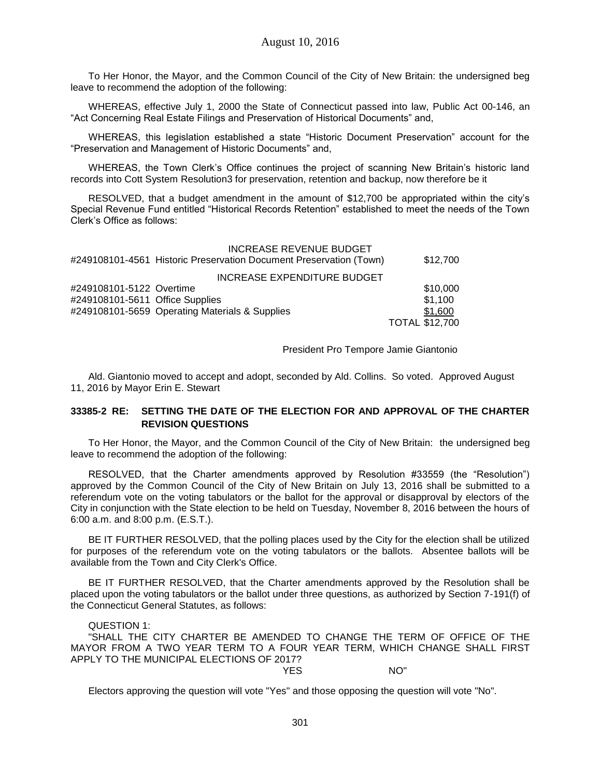To Her Honor, the Mayor, and the Common Council of the City of New Britain: the undersigned beg leave to recommend the adoption of the following:

WHEREAS, effective July 1, 2000 the State of Connecticut passed into law, Public Act 00-146, an "Act Concerning Real Estate Filings and Preservation of Historical Documents" and,

WHEREAS, this legislation established a state "Historic Document Preservation" account for the "Preservation and Management of Historic Documents" and,

WHEREAS, the Town Clerk's Office continues the project of scanning New Britain's historic land records into Cott System Resolution3 for preservation, retention and backup, now therefore be it

RESOLVED, that a budget amendment in the amount of \$12,700 be appropriated within the city's Special Revenue Fund entitled "Historical Records Retention" established to meet the needs of the Town Clerk's Office as follows:

|                                 | <b>INCREASE REVENUE BUDGET</b><br>#249108101-4561 Historic Preservation Document Preservation (Town) | \$12,700              |
|---------------------------------|------------------------------------------------------------------------------------------------------|-----------------------|
|                                 | INCREASE EXPENDITURE BUDGET                                                                          |                       |
| #249108101-5122 Overtime        |                                                                                                      | \$10,000              |
| #249108101-5611 Office Supplies |                                                                                                      | \$1,100               |
|                                 | #249108101-5659 Operating Materials & Supplies                                                       | \$1,600               |
|                                 |                                                                                                      | <b>TOTAL \$12,700</b> |

President Pro Tempore Jamie Giantonio

Ald. Giantonio moved to accept and adopt, seconded by Ald. Collins. So voted. Approved August 11, 2016 by Mayor Erin E. Stewart

# **33385-2 RE: SETTING THE DATE OF THE ELECTION FOR AND APPROVAL OF THE CHARTER REVISION QUESTIONS**

To Her Honor, the Mayor, and the Common Council of the City of New Britain: the undersigned beg leave to recommend the adoption of the following:

RESOLVED, that the Charter amendments approved by Resolution #33559 (the "Resolution") approved by the Common Council of the City of New Britain on July 13, 2016 shall be submitted to a referendum vote on the voting tabulators or the ballot for the approval or disapproval by electors of the City in conjunction with the State election to be held on Tuesday, November 8, 2016 between the hours of 6:00 a.m. and 8:00 p.m. (E.S.T.).

BE IT FURTHER RESOLVED, that the polling places used by the City for the election shall be utilized for purposes of the referendum vote on the voting tabulators or the ballots. Absentee ballots will be available from the Town and City Clerk's Office.

BE IT FURTHER RESOLVED, that the Charter amendments approved by the Resolution shall be placed upon the voting tabulators or the ballot under three questions, as authorized by Section 7-191(f) of the Connecticut General Statutes, as follows:

QUESTION 1:

"SHALL THE CITY CHARTER BE AMENDED TO CHANGE THE TERM OF OFFICE OF THE MAYOR FROM A TWO YEAR TERM TO A FOUR YEAR TERM, WHICH CHANGE SHALL FIRST APPLY TO THE MUNICIPAL ELECTIONS OF 2017? YES NO"

Electors approving the question will vote "Yes" and those opposing the question will vote "No".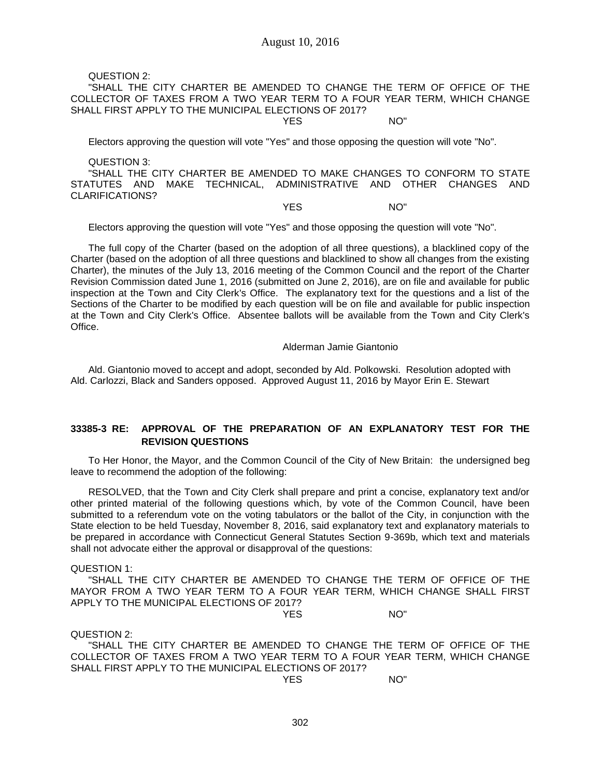QUESTION 2:

"SHALL THE CITY CHARTER BE AMENDED TO CHANGE THE TERM OF OFFICE OF THE COLLECTOR OF TAXES FROM A TWO YEAR TERM TO A FOUR YEAR TERM, WHICH CHANGE SHALL FIRST APPLY TO THE MUNICIPAL ELECTIONS OF 2017?

YES NO"

Electors approving the question will vote "Yes" and those opposing the question will vote "No".

QUESTION 3:

"SHALL THE CITY CHARTER BE AMENDED TO MAKE CHANGES TO CONFORM TO STATE STATUTES AND MAKE TECHNICAL, ADMINISTRATIVE AND OTHER CHANGES AND CLARIFICATIONS?

YES NO"

Electors approving the question will vote "Yes" and those opposing the question will vote "No".

The full copy of the Charter (based on the adoption of all three questions), a blacklined copy of the Charter (based on the adoption of all three questions and blacklined to show all changes from the existing Charter), the minutes of the July 13, 2016 meeting of the Common Council and the report of the Charter Revision Commission dated June 1, 2016 (submitted on June 2, 2016), are on file and available for public inspection at the Town and City Clerk's Office. The explanatory text for the questions and a list of the Sections of the Charter to be modified by each question will be on file and available for public inspection at the Town and City Clerk's Office. Absentee ballots will be available from the Town and City Clerk's Office.

Alderman Jamie Giantonio

Ald. Giantonio moved to accept and adopt, seconded by Ald. Polkowski. Resolution adopted with Ald. Carlozzi, Black and Sanders opposed. Approved August 11, 2016 by Mayor Erin E. Stewart

# **33385-3 RE: APPROVAL OF THE PREPARATION OF AN EXPLANATORY TEST FOR THE REVISION QUESTIONS**

To Her Honor, the Mayor, and the Common Council of the City of New Britain: the undersigned beg leave to recommend the adoption of the following:

RESOLVED, that the Town and City Clerk shall prepare and print a concise, explanatory text and/or other printed material of the following questions which, by vote of the Common Council, have been submitted to a referendum vote on the voting tabulators or the ballot of the City, in conjunction with the State election to be held Tuesday, November 8, 2016, said explanatory text and explanatory materials to be prepared in accordance with Connecticut General Statutes Section 9-369b, which text and materials shall not advocate either the approval or disapproval of the questions:

QUESTION 1:

"SHALL THE CITY CHARTER BE AMENDED TO CHANGE THE TERM OF OFFICE OF THE MAYOR FROM A TWO YEAR TERM TO A FOUR YEAR TERM, WHICH CHANGE SHALL FIRST APPLY TO THE MUNICIPAL ELECTIONS OF 2017?

YES NO"

QUESTION 2:

"SHALL THE CITY CHARTER BE AMENDED TO CHANGE THE TERM OF OFFICE OF THE COLLECTOR OF TAXES FROM A TWO YEAR TERM TO A FOUR YEAR TERM, WHICH CHANGE SHALL FIRST APPLY TO THE MUNICIPAL ELECTIONS OF 2017?

YES NO"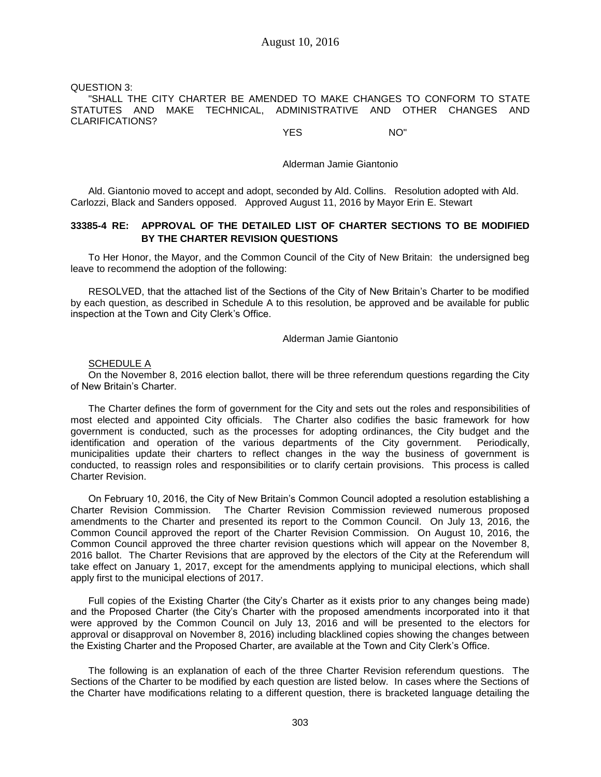QUESTION 3: "SHALL THE CITY CHARTER BE AMENDED TO MAKE CHANGES TO CONFORM TO STATE STATUTES AND MAKE TECHNICAL, ADMINISTRATIVE AND OTHER CHANGES AND CLARIFICATIONS?

YES NO"

#### Alderman Jamie Giantonio

Ald. Giantonio moved to accept and adopt, seconded by Ald. Collins. Resolution adopted with Ald. Carlozzi, Black and Sanders opposed. Approved August 11, 2016 by Mayor Erin E. Stewart

## **33385-4 RE: APPROVAL OF THE DETAILED LIST OF CHARTER SECTIONS TO BE MODIFIED BY THE CHARTER REVISION QUESTIONS**

To Her Honor, the Mayor, and the Common Council of the City of New Britain: the undersigned beg leave to recommend the adoption of the following:

RESOLVED, that the attached list of the Sections of the City of New Britain's Charter to be modified by each question, as described in Schedule A to this resolution, be approved and be available for public inspection at the Town and City Clerk's Office.

#### Alderman Jamie Giantonio

#### SCHEDULE A

On the November 8, 2016 election ballot, there will be three referendum questions regarding the City of New Britain's Charter.

The Charter defines the form of government for the City and sets out the roles and responsibilities of most elected and appointed City officials. The Charter also codifies the basic framework for how government is conducted, such as the processes for adopting ordinances, the City budget and the identification and operation of the various departments of the City government. Periodically, municipalities update their charters to reflect changes in the way the business of government is conducted, to reassign roles and responsibilities or to clarify certain provisions. This process is called Charter Revision.

On February 10, 2016, the City of New Britain's Common Council adopted a resolution establishing a Charter Revision Commission. The Charter Revision Commission reviewed numerous proposed amendments to the Charter and presented its report to the Common Council. On July 13, 2016, the Common Council approved the report of the Charter Revision Commission. On August 10, 2016, the Common Council approved the three charter revision questions which will appear on the November 8, 2016 ballot. The Charter Revisions that are approved by the electors of the City at the Referendum will take effect on January 1, 2017, except for the amendments applying to municipal elections, which shall apply first to the municipal elections of 2017.

Full copies of the Existing Charter (the City's Charter as it exists prior to any changes being made) and the Proposed Charter (the City's Charter with the proposed amendments incorporated into it that were approved by the Common Council on July 13, 2016 and will be presented to the electors for approval or disapproval on November 8, 2016) including blacklined copies showing the changes between the Existing Charter and the Proposed Charter, are available at the Town and City Clerk's Office.

The following is an explanation of each of the three Charter Revision referendum questions. The Sections of the Charter to be modified by each question are listed below. In cases where the Sections of the Charter have modifications relating to a different question, there is bracketed language detailing the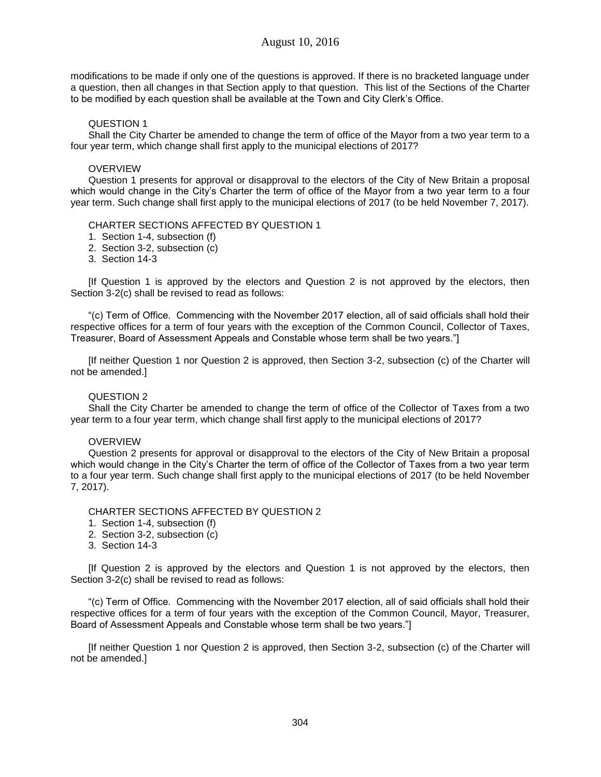modifications to be made if only one of the questions is approved. If there is no bracketed language under a question, then all changes in that Section apply to that question. This list of the Sections of the Charter to be modified by each question shall be available at the Town and City Clerk's Office.

# QUESTION 1

Shall the City Charter be amended to change the term of office of the Mayor from a two year term to a four year term, which change shall first apply to the municipal elections of 2017?

### **OVERVIEW**

Question 1 presents for approval or disapproval to the electors of the City of New Britain a proposal which would change in the City's Charter the term of office of the Mayor from a two year term to a four year term. Such change shall first apply to the municipal elections of 2017 (to be held November 7, 2017).

### CHARTER SECTIONS AFFECTED BY QUESTION 1

- 1. Section 1-4, subsection (f)
- 2. Section 3-2, subsection (c)
- 3. Section 14-3

[If Question 1 is approved by the electors and Question 2 is not approved by the electors, then Section 3-2(c) shall be revised to read as follows:

"(c) Term of Office. Commencing with the November 2017 election, all of said officials shall hold their respective offices for a term of four years with the exception of the Common Council, Collector of Taxes, Treasurer, Board of Assessment Appeals and Constable whose term shall be two years."]

[If neither Question 1 nor Question 2 is approved, then Section 3-2, subsection (c) of the Charter will not be amended.]

### QUESTION 2

Shall the City Charter be amended to change the term of office of the Collector of Taxes from a two year term to a four year term, which change shall first apply to the municipal elections of 2017?

# **OVERVIEW**

Question 2 presents for approval or disapproval to the electors of the City of New Britain a proposal which would change in the City's Charter the term of office of the Collector of Taxes from a two year term to a four year term. Such change shall first apply to the municipal elections of 2017 (to be held November 7, 2017).

CHARTER SECTIONS AFFECTED BY QUESTION 2

- 1. Section 1-4, subsection (f)
- 2. Section 3-2, subsection (c)
- 3. Section 14-3

[If Question 2 is approved by the electors and Question 1 is not approved by the electors, then Section 3-2(c) shall be revised to read as follows:

"(c) Term of Office. Commencing with the November 2017 election, all of said officials shall hold their respective offices for a term of four years with the exception of the Common Council, Mayor, Treasurer, Board of Assessment Appeals and Constable whose term shall be two years."]

[If neither Question 1 nor Question 2 is approved, then Section 3-2, subsection (c) of the Charter will not be amended.]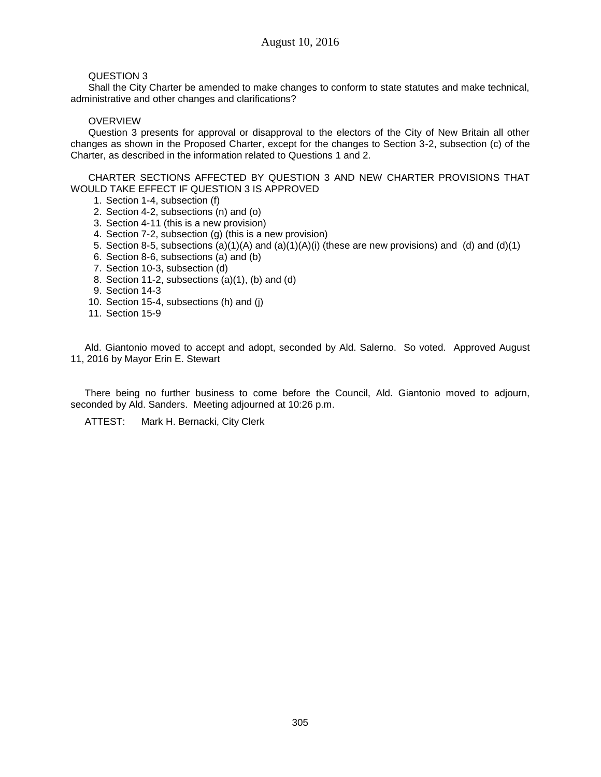# QUESTION 3

Shall the City Charter be amended to make changes to conform to state statutes and make technical, administrative and other changes and clarifications?

# OVERVIEW

Question 3 presents for approval or disapproval to the electors of the City of New Britain all other changes as shown in the Proposed Charter, except for the changes to Section 3-2, subsection (c) of the Charter, as described in the information related to Questions 1 and 2.

CHARTER SECTIONS AFFECTED BY QUESTION 3 AND NEW CHARTER PROVISIONS THAT WOULD TAKE EFFECT IF QUESTION 3 IS APPROVED

- 1. Section 1-4, subsection (f)
- 2. Section 4-2, subsections (n) and (o)
- 3. Section 4-11 (this is a new provision)
- 4. Section 7-2, subsection (g) (this is a new provision)
- 5. Section 8-5, subsections (a)(1)(A) and (a)(1)(A)(i) (these are new provisions) and (d) and (d)(1)
- 6. Section 8-6, subsections (a) and (b)
- 7. Section 10-3, subsection (d)
- 8. Section 11-2, subsections (a)(1), (b) and (d)
- 9. Section 14-3
- 10. Section 15-4, subsections (h) and (j)
- 11. Section 15-9

Ald. Giantonio moved to accept and adopt, seconded by Ald. Salerno. So voted. Approved August 11, 2016 by Mayor Erin E. Stewart

There being no further business to come before the Council, Ald. Giantonio moved to adjourn, seconded by Ald. Sanders. Meeting adjourned at 10:26 p.m.

ATTEST: Mark H. Bernacki, City Clerk